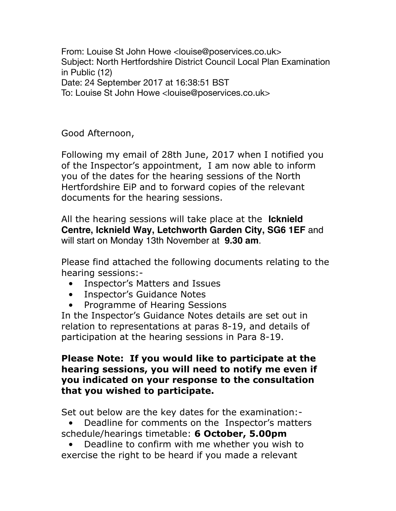From: Louise St John Howe <louise@poservices.co.uk> Subject: North Hertfordshire District Council Local Plan Examination in Public (12) Date: 24 September 2017 at 16:38:51 BST To: Louise St John Howe <louise@poservices.co.uk>

Good Afternoon,

Following my email of 28th June, 2017 when I notified you of the Inspector's appointment, I am now able to inform you of the dates for the hearing sessions of the North Hertfordshire EiP and to forward copies of the relevant documents for the hearing sessions.

All the hearing sessions will take place at the **Icknield Centre, Icknield Way, Letchworth Garden City, SG6 1EF** and will start on Monday 13th November at **9.30 am**.

Please find attached the following documents relating to the hearing sessions:-

- Inspector's Matters and Issues
- Inspector's Guidance Notes
- Programme of Hearing Sessions

In the Inspector's Guidance Notes details are set out in relation to representations at paras 8-19, and details of participation at the hearing sessions in Para 8-19.

## **Please Note: If you would like to participate at the hearing sessions, you will need to notify me even if you indicated on your response to the consultation that you wished to participate.**

Set out below are the key dates for the examination:-

• Deadline for comments on the Inspector's matters schedule/hearings timetable: **6 October, 5.00pm**

• Deadline to confirm with me whether you wish to exercise the right to be heard if you made a relevant